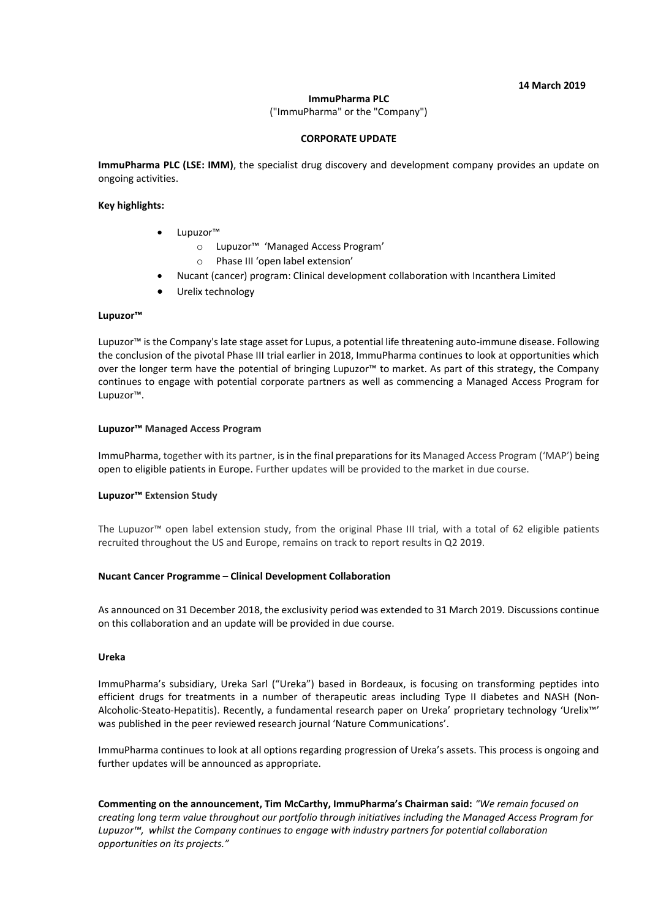#### **14 March 2019**

### **ImmuPharma PLC**

("ImmuPharma" or the "Company")

### **CORPORATE UPDATE**

**ImmuPharma PLC (LSE: IMM)**, the specialist drug discovery and development company provides an update on ongoing activities.

## **Key highlights:**

- Lupuzor™
	- o Lupuzor™ 'Managed Access Program'
		- o Phase III 'open label extension'
- Nucant (cancer) program: Clinical development collaboration with Incanthera Limited
- Urelix technology

### **Lupuzor™**

Lupuzor™ is the Company's late stage asset for Lupus, a potential life threatening auto-immune disease. Following the conclusion of the pivotal Phase III trial earlier in 2018, ImmuPharma continues to look at opportunities which over the longer term have the potential of bringing Lupuzor™ to market. As part of this strategy, the Company continues to engage with potential corporate partners as well as commencing a Managed Access Program for Lupuzor™.

### **Lupuzor™ Managed Access Program**

ImmuPharma, together with its partner, is in the final preparations for its Managed Access Program ('MAP') being open to eligible patients in Europe. Further updates will be provided to the market in due course.

# **Lupuzor™ Extension Study**

The Lupuzor™ open label extension study, from the original Phase III trial, with a total of 62 eligible patients recruited throughout the US and Europe, remains on track to report results in Q2 2019.

#### **Nucant Cancer Programme – Clinical Development Collaboration**

As announced on 31 December 2018, the exclusivity period was extended to 31 March 2019. Discussions continue on this collaboration and an update will be provided in due course.

#### **Ureka**

ImmuPharma's subsidiary, Ureka Sarl ("Ureka") based in Bordeaux, is focusing on transforming peptides into efficient drugs for treatments in a number of therapeutic areas including Type II diabetes and NASH (Non-Alcoholic-Steato-Hepatitis). Recently, a fundamental research paper on Ureka' proprietary technology 'Urelix™' was published in the peer reviewed research journal 'Nature Communications'.

ImmuPharma continues to look at all options regarding progression of Ureka's assets. This process is ongoing and further updates will be announced as appropriate.

**Commenting on the announcement, Tim McCarthy, ImmuPharma's Chairman said:** *"We remain focused on creating long term value throughout our portfolio through initiatives including the Managed Access Program for Lupuzor™, whilst the Company continues to engage with industry partners for potential collaboration opportunities on its projects."*